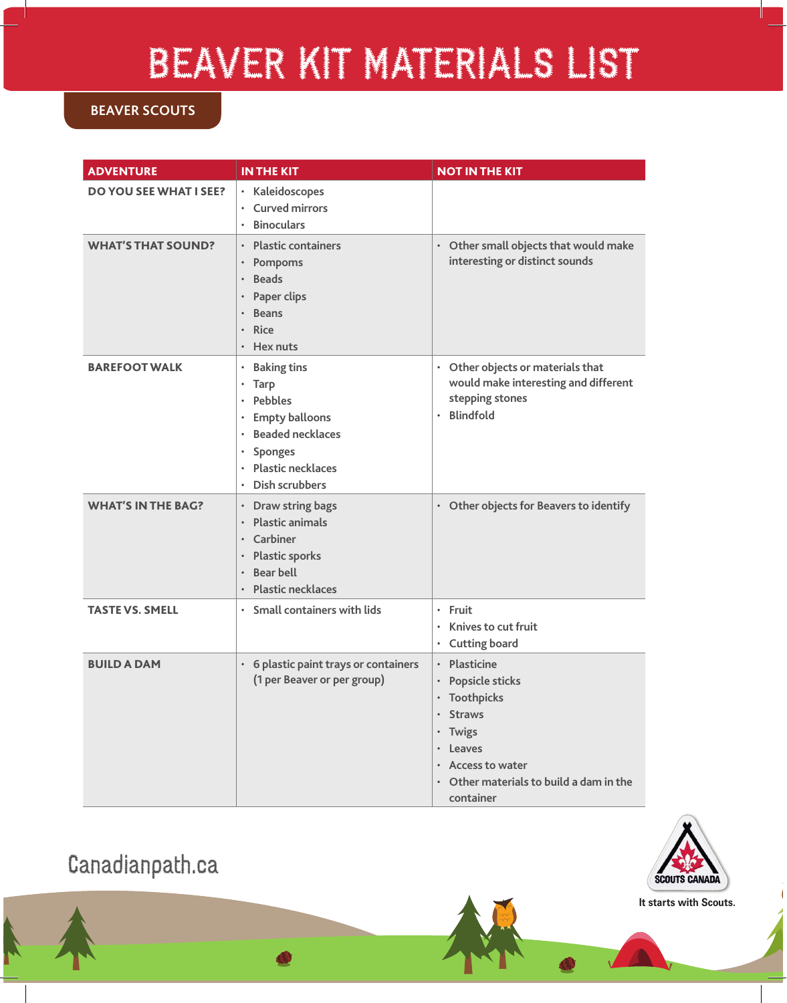## BEAVER KIT MATERIALS LIST

## **BEAVER SCOUTS**

| <b>ADVENTURE</b>              | <b>IN THE KIT</b>                                                                                                                                                                                                                                     | <b>NOT IN THE KIT</b>                                                                                                                                                                     |
|-------------------------------|-------------------------------------------------------------------------------------------------------------------------------------------------------------------------------------------------------------------------------------------------------|-------------------------------------------------------------------------------------------------------------------------------------------------------------------------------------------|
| <b>DO YOU SEE WHAT I SEE?</b> | · Kaleidoscopes<br><b>Curved mirrors</b><br>$\bullet$<br><b>Binoculars</b>                                                                                                                                                                            |                                                                                                                                                                                           |
| <b>WHAT'S THAT SOUND?</b>     | <b>Plastic containers</b><br>$\bullet$<br>Pompoms<br>$\bullet$<br><b>Beads</b><br>$\bullet$<br>Paper clips<br>$\bullet$<br><b>Beans</b><br>$\bullet$<br><b>Rice</b><br>$\bullet$<br>Hex nuts<br>$\bullet$                                             | Other small objects that would make<br>$\bullet$<br>interesting or distinct sounds                                                                                                        |
| <b>BAREFOOT WALK</b>          | <b>Baking tins</b><br>$\bullet$<br><b>Tarp</b><br>$\bullet$<br><b>Pebbles</b><br>$\bullet$<br><b>Empty balloons</b><br>$\bullet$<br><b>Beaded necklaces</b><br><b>Sponges</b><br>$\bullet$<br><b>Plastic necklaces</b><br>$\bullet$<br>Dish scrubbers | Other objects or materials that<br>$\bullet$<br>would make interesting and different<br>stepping stones<br><b>Blindfold</b><br>$\bullet$                                                  |
| <b>WHAT'S IN THE BAG?</b>     | <b>Draw string bags</b><br>$\bullet$<br><b>Plastic animals</b><br>$\bullet$<br>Carbiner<br>$\bullet$<br><b>Plastic sporks</b><br>$\bullet$<br><b>Bear bell</b><br>$\bullet$<br><b>Plastic necklaces</b>                                               | Other objects for Beavers to identify<br>$\bullet$                                                                                                                                        |
| <b>TASTE VS. SMELL</b>        | · Small containers with lids                                                                                                                                                                                                                          | $\cdot$ Fruit<br>Knives to cut fruit<br>$\bullet$<br><b>Cutting board</b><br>٠                                                                                                            |
| <b>BUILD A DAM</b>            | 6 plastic paint trays or containers<br>$\bullet$<br>(1 per Beaver or per group)                                                                                                                                                                       | <b>Plasticine</b><br>$\bullet$<br>· Popsicle sticks<br>• Toothpicks<br>· Straws<br>· Twigs<br>• Leaves<br>• Access to water<br>$\cdot$ Other materials to build a dam in the<br>container |





**It starts with Scouts.**